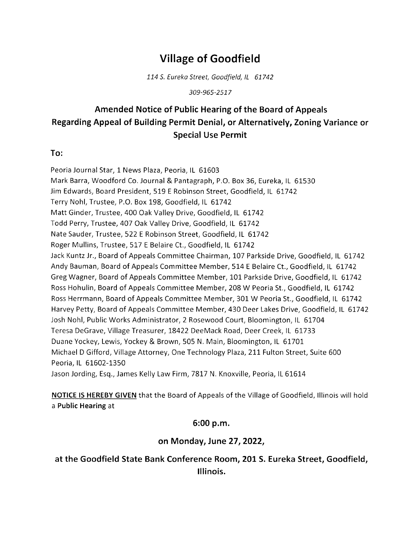# Village of Goodfield

114 S. Eureka Street, Goodfield, IL 61742

309-965-2517

# Amended Notice of Public Hearing of the Board of Appeals Regarding Appeal of Building Permit Denia!, or Alternatively, Zoning Variance or Special Use Permit

#### To:

Peoria Journal Star, 1 News Plaza, Peoria, IL 61603 Mark Barra, Woodford Co, Journal & Pantagraph, P,O. Box 36, Eureka, lL 61530 Jim Edwards, Board President, 519 E Robinson Street, Goodfield, lL 61742 Terry Nohl, Trustee, P.O. Box 198, Goodfield, lL 61742 Matt Ginder, Trustee, 400 Oak Valley Drive, Goodfield, IL 61742 Todd Perry, Trustee, 407 Oak Valley Drive, Goodfield, lL 61742 Nate Sauder, Trustee, 522 E Robinson Street, Goodfield, IL 61742 Roger Mullins, Trustee, 517 E Belaire Ct., Goodfield, IL 61742 Jack Kuntz Jr., Board of Appeals Committee Chairman, 107 Parkside Drive, Goodfield, lL 61742 Andy Bauman, Board of Appeals Committee Member, 514 E Belaire Ct., Goodfield, IL 61742 Greg Wagner, Board of Appeals Committee Member, 101 Parkside Drive, Goodfield, IL 61742 Ross Hohulin, Board of Appeals Committee Member, 208 W Peoria St., Goodfield, IL 61742 Ross Herrmann, Board of Appeals Committee Member, 301 W Peoria St., Goodfield, IL 61742 Harvey Petty, Board of Appeals Committee Member,430 Deer Lakes Drive, Goodfield, lL 61742 Josh Nohl, Public Works Administrator, 2 Rosewood Court, Bloomington, IL 61704 Teresa DeGrave, Village Treasurer, 18422 DeeMack Road, Deer Creek, IL 61733 Duane Yockey, Lewis, Yockey & Brown,505 N, Main, Bloomington, lL 61701 Michael D Gifford, Village Attorney, One Technology Plaza, 211 Fulton Street, Suite 600 Peoria, IL 61602-1350 Jason Jording, Esq., James Kelly Law Firm, 7817 N. Knoxville, Peoria, IL 61614

NOTICE lS HEREBY GIVEN that the Board of Appeals of the Village of Goodfield, lllinois will hold a Public Hearing at

## 5:00 p.m.

## on Monday, June 27 ,2022,

at the Goodfield State Bank Conference Room, 201 S. Eureka Street, Goodfield, lllinois.